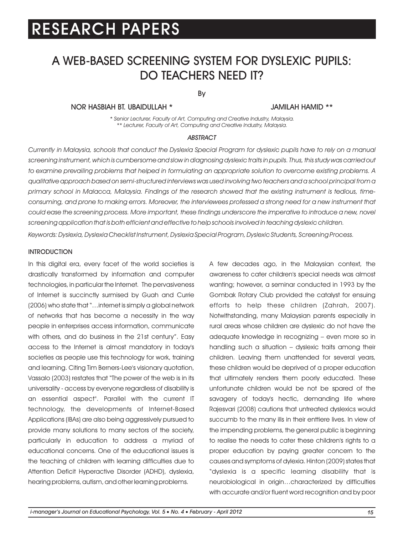### A WEB-BASED SCREENING SYSTEM FOR DYSLEXIC PUPILS: DO TEACHERS NEED IT?

By

#### NOR HASBIAH BT. UBAIDULLAH \* JAMILAH HAMID \*\*

*\* Senior Lecturer, Faculty of Art, Computing and Creative Industry, Malaysia. \*\* Lecturer, Faculty of Art, Computing and Creative Industry, Malaysia.*

#### *ABSTRACT*

*Currently in Malaysia, schools that conduct the Dyslexia Special Program for dyslexic pupils have to rely on a manual screening instrument, which is cumbersome and slow in diagnosing dyslexic traits in pupils. Thus, this study was carried out*  to examine prevailing problems that helped in formulating an appropriate solution to overcome existing problems. A *qualitative approach based on semi-structured interviews was used involving two teachers and a school principal from a primary school in Malacca, Malaysia. Findings of the research showed that the existing instrument is tedious, time*consuming, and prone to making errors. Moreover, the interviewees professed a strong need for a new instrument that could ease the screening process. More important, these findings underscore the imperative to introduce a new, novel *screening application that is both efficient and effective to help schools involved in teaching dyslexic children.*

*Keywords: Dyslexia, Dyslexia Checklist Instrument, Dyslexia Special Program, Dyslexic Students, Screening Process.*

#### **INTRODUCTION**

In this digital era, every facet of the world societies is drastically transformed by information and computer technologies, in particular the Internet. The pervasiveness of Internet is succinctly surmised by Guah and Currie (2006) who state that "…internet is simply a global network of networks that has become a necessity in the way people in enterprises access information, communicate with others, and do business in the 21st century". Easy access to the Internet is almost mandatory in today's societies as people use this technology for work, training and learning. Citing Tim Berners-Lee's visionary quotation, Vassalo (2003) restates that "The power of the web is in its universality - access by everyone regardless of disability is an essential aspect". Parallel with the current IT technology, the developments of Internet-Based Applications (IBAs) are also being aggressively pursued to provide many solutions to many sectors of the society, particularly in education to address a myriad of educational concerns. One of the educational issues is the teaching of children with learning difficulties due to Attention Deficit Hyperactive Disorder (ADHD), dyslexia, hearing problems, autism, and other learning problems.

A few decades ago, in the Malaysian context, the awareness to cater children's special needs was almost wanting; however, a seminar conducted in 1993 by the Gombak Rotary Club provided the catalyst for ensuing efforts to help these children (Zahrah, 2007). Notwithstanding, many Malaysian parents especially in rural areas whose children are dyslexic do not have the adequate knowledge in recognizing – even more so in handling such a situation – dyslexic traits among their children. Leaving them unattended for several years, these children would be deprived of a proper education that ultimately renders them poorly educated. These unfortunate children would be not be spared of the savagery of today's hectic, demanding life where Rajesvari (2008) cautions that untreated dyslexics would succumb to the many ills in their enttiere lives. In view of the impending problems, the general public is beginning to realise the needs to cater these children's rights to a proper education by paying greater concern to the causes and symptoms of dylexia. Hinton (2009) states that "dyslexia is a specific learning disability that is neurobiological in origin…characterized by difficulties with accurate and/or fluent word recognition and by poor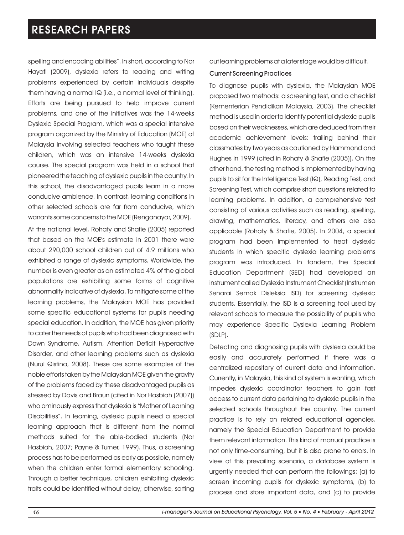spelling and encoding abilities". In short, according to Nor Hayati (2009), dyslexia refers to reading and writing problems experienced by certain individuals despite them having a normal IQ (i.e., a normal level of thinking). Efforts are being pursued to help improve current problems, and one of the initiatives was the 14-weeks Dyslexic Special Program, which was a special intensive program organized by the Ministry of Education (MOE) of Malaysia involving selected teachers who taught these children, which was an intensive 14-weeks dyslexia course. The special program was held in a school that pioneered the teaching of dyslexic pupils in the country. In this school, the disadvantaged pupils learn in a more conducive ambience. In contrast, learning conditions in other selected schools are far from conducive, which warrants some concerns to the MOE (Renganayar, 2009).

At the national level, Rohaty and Shafie (2005) reported that based on the MOE's estimate in 2001 there were about 290,000 school children out of 4.9 millions who exhibited a range of dyslexic symptoms. Worldwide, the number is even greater as an estimated 4% of the global populations are exhibiting some forms of cognitive abnormality indicative of dyslexia. To mitigate some of the learning problems, the Malaysian MOE has provided some specific educational systems for pupils needing special education. In addition, the MOE has given priority to cater the needs of pupils who had been diagnosed with Down Syndrome, Autism, Attention Deficit Hyperactive Disorder, and other learning problems such as dyslexia (Nurul Qistina, 2008). These are some examples of the noble efforts taken by the Malaysian MOE given the gravity of the problems faced by these disadvantaged pupils as stressed by Davis and Braun (cited in Nor Hasbiah (2007)) who ominously express that dyslexia is "Mother of Learning Disabilities". In learning, dyslexic pupils need a special learning approach that is different from the normal methods suited for the able-bodied students (Nor Hasbiah, 2007; Payne & Turner, 1999). Thus, a screening process has to be performed as early as possible, namely when the children enter formal elementary schooling. Through a better technique, children exhibiting dyslexic traits could be identified without delay; otherwise, sorting

out learning problems at a later stage would be difficult.

#### Current Screening Practices

To diagnose pupils with dyslexia, the Malaysian MOE proposed two methods: a screening test, and a checklist (Kementerian Pendidikan Malaysia, 2003). The checklist method is used in order to identify potential dyslexic pupils based on their weaknesses, which are deduced from their academic achievement levels: trailing behind their classmates by two years as cautioned by Hammond and Hughes in 1999 (cited in Rohaty & Shafie (2005)). On the other hand, the testing method is implemented by having pupils to sit for the Intelligence Test (IQ), Reading Test, and Screening Test, which comprise short questions related to learning problems. In addition, a comprehensive test consisting of various activities such as reading, spelling, drawing, mathematics, literacy, and others are also applicable (Rohaty & Shafie, 2005). In 2004, a special program had been implemented to treat dyslexic students in which specific dyslexia learning problems program was introduced. In tandem, the Special Education Department (SED) had developed an instrument called Dyslexia Instrument Checklist (Instrumen Senarai Semak Disleksia ISD) for screening dyslexic students. Essentially, the ISD is a screening tool used by relevant schools to measure the possibility of pupils who may experience Specific Dyslexia Learning Problem (SDLP).

Detecting and diagnosing pupils with dyslexia could be easily and accurately performed if there was a centralized repository of current data and information. Currently, in Malaysia, this kind of system is wanting, which impedes dyslexic coordinator teachers to gain fast access to current data pertaining to dyslexic pupils in the selected schools throughout the country. The current practice is to rely on related educational agencies, namely the Special Education Department to provide them relevant information. This kind of manual practice is not only time-consuming, but it is also prone to errors. In view of this prevailing scenario, a database system is urgently needed that can perform the followings: (a) to screen incoming pupils for dyslexic symptoms, (b) to process and store important data, and (c) to provide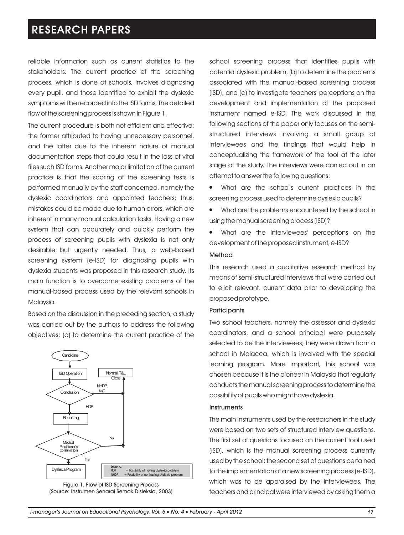reliable information such as current statistics to the stakeholders. The current practice of the screening process, which is done at schools, involves diagnosing every pupil, and those identified to exhibit the dyslexic symptoms will be recorded into the ISD forms. The detailed flow of the screening process is shown in Figure 1.

The current procedure is both not efficient and effective: the former attributed to having unnecessary personnel, and the latter due to the inherent nature of manual documentation steps that could result in the loss of vital files such ISD forms. Another major limitation of the current practice is that the scoring of the screening tests is performed manually by the staff concerned, namely the dyslexic coordinators and appointed teachers; thus, mistakes could be made due to human errors, which are inherent in many manual calculation tasks. Having a new system that can accurately and quickly perform the process of screening pupils with dyslexia is not only desirable but urgently needed. Thus, a web-based screening system (e-ISD) for diagnosing pupils with dyslexia students was proposed in this research study. Its main function is to overcome existing problems of the manual-based process used by the relevant schools in Malaysia.

Based on the discussion in the preceding section, a study was carried out by the authors to address the following objectives: (a) to determine the current practice of the





school screening process that identifies pupils with potential dyslexic problem, (b) to determine the problems associated with the manual-based screening process (ISD), and (c) to investigate teachers' perceptions on the development and implementation of the proposed instrument named e-ISD. The work discussed in the following sections of the paper only focuses on the semistructured interviews involving a small group of interviewees and the findings that would help in conceptualizing the framework of the tool at the later stage of the study. The interviews were carried out in an attempt to answer the following questions:

What are the school's current practices in the l screening process used to determine dyslexic pupils?

What are the problems encountered by the school in l using the manual screening process (ISD)?

What are the interviewees' perceptions on the l development of the proposed instrument, e-ISD?

#### Method

This research used a qualitative research method by means of semi-structured interviews that were carried out to elicit relevant, current data prior to developing the proposed prototype.

#### **Participants**

Two school teachers, namely the assessor and dyslexic coordinators, and a school principal were purposely selected to be the interviewees; they were drawn from a school in Malacca, which is involved with the special learning program. More important, this school was chosen because it is the pioneer in Malaysia that regularly conducts the manual screening process to determine the possibility of pupils who might have dyslexia.

#### **Instruments**

The main instruments used by the researchers in the study were based on two sets of structured interview questions. The first set of questions focused on the current tool used (ISD), which is the manual screening process currently used by the school; the second set of questions pertained to the implementation of a new screening process (e-ISD), which was to be appraised by the interviewees. The teachers and principal were interviewed by asking them a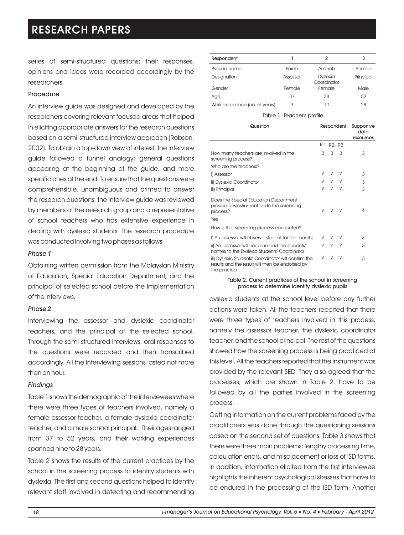series of semi-structured questions; their responses, opinions and ideas were recorded accordingly by the researchers.

#### Procedure

An interview guide was designed and developed by the researchers covering relevant focused areas that helped in eliciting appropriate answers for the research questions based on a semi-structured interview approach (Robson, 2002). To obtain a top-down view of interest, the interview guide followed a funnel analogy; general questions appearing at the beginning of the guide, and more specific ones at the end. To ensure that the questions were comprehensible, unambiguous and primed to answer the research questions, the interview guide was reviewed by members of the research group and a representative of school teachers who has extensive experience in dealing with dyslexic students. The research procedure was conducted involving two phases as follows

#### *Phase 1*

Obtaining written permission from the Malaysian Ministry of Education, Special Education Department, and the principal of selected school before the implementation of the interviews.

#### *Phase 2*

Interviewing the assessor and dyslexic coordinator teachers, and the principal of the selected school. Through the semi-structured interviews, oral responses to the questions were recorded and then transcribed accordingly. All the interviewing sessions lasted not more than an hour.

#### *Findings*

Table 1 shows the demographic of the interviewees where there were three types of teachers involved, namely a female assessor teacher, a female dyslexia coordinator teacher, and a male school principal. Their ages ranged from 37 to 52 years, and their working experiences spanned nine to 28 years.

Table 2 shows the results of the current practices by the school in the screening process to identify students with dyslexia. The first and second questions helped to identify relevant staff involved in detecting and recommending

| Respondent                     |          | 2                              | 3         |
|--------------------------------|----------|--------------------------------|-----------|
| Pseudo-name                    | Farah    | Aminah                         | Ahmad     |
| Designation                    | Assessor | <b>Dyslexia</b><br>Coordinator | Principal |
| Gender                         | Female   | Female                         | Male      |
| Age                            | 37       | 38                             | 52        |
| Work experience (no. of years) | 9        | 10                             | 28        |

#### Table 1. Teacher's profile

| Question                                                                                                                 | Respondent |   |                               | Supportive |
|--------------------------------------------------------------------------------------------------------------------------|------------|---|-------------------------------|------------|
|                                                                                                                          |            |   |                               | data       |
|                                                                                                                          |            |   |                               | resources  |
|                                                                                                                          | R1         |   | R <sub>2</sub> R <sub>3</sub> |            |
| How many teachers are involved in the<br>screening process?                                                              | 3          | 3 | 3                             | 3          |
| Who are the teachers?                                                                                                    |            |   |                               |            |
| I) Assessor                                                                                                              | V          | v | V                             | 3          |
| ii) Dyslexic Coordinator                                                                                                 | V          | V | V                             | 3          |
| iii) Principal                                                                                                           | V          | V | $\vee$                        | 3          |
| Does the Special Education Department<br>provide anyinstrument to do the screening<br>process?                           | $\vee$     |   | V                             | 3          |
| Yes                                                                                                                      |            |   |                               |            |
| How is the screening process conducted?                                                                                  |            |   |                               |            |
| I) An assessor will observe student for ten months.                                                                      | V          | V | V                             | 3          |
| ii) An assessor will recommend the students'<br>names to the Dyslexic Students' Coordinator                              | V          | V | $\vee$                        | 3          |
| iii) Dyslexic Students' Coordinator will confirm the<br>results and the result will then be endorsed by<br>the principal | V          | V | V                             | 3          |

Table 2. Current practices of the school in screening process to determine identify dyslexic pupils

dyslexic students at the school level before any further actions were taken. All the teachers reported that there were three types of teachers involved in this process, namely the assessor teacher, the dyslexic coordinator teacher, and the school principal. The rest of the questions showed how the screening process is being practiced at this level. All the teachers reported that the instrument was provided by the relevant SED. They also agreed that the processes, which are shown in Table 2, have to be followed by all the parties involved in the screening process.

Getting information on the current problems faced by the practitioners was done through the questioning sessions based on the second set of questions. Table 3 shows that there were three main problems: lengthy processing time, calculation errors, and misplacement or loss of ISD forms. In addition, information elicited from the first interviewee highlights the inherent psychological stresses that have to be endured in the processing of the ISD form. Another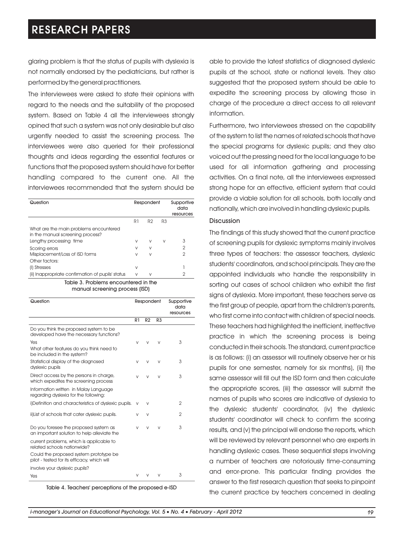glaring problem is that the status of pupils with dyslexia is not normally endorsed by the pediatricians, but rather is performed by the general practitioners.

The interviewees were asked to state their opinions with regard to the needs and the suitability of the proposed system. Based on Table 4 all the interviewees strongly opined that such a system was not only desirable but also urgently needed to assist the screening process. The interviewees were also queried for their professional thoughts and ideas regarding the essential features or functions that the proposed system should have for better handling compared to the current one. All the interviewees recommended that the system should be

| Question                                                                   | Respondent |                |    | Supportive<br>data<br>resources |
|----------------------------------------------------------------------------|------------|----------------|----|---------------------------------|
|                                                                            | R1         | R <sub>2</sub> | R3 |                                 |
| What are the main problems encountered<br>in the manual screening process? |            |                |    |                                 |
| Lengthy processing time                                                    | V          | V              | V  | 3                               |
| Scoring errors                                                             | V          | V              |    | $\overline{2}$                  |
| Misplacement/Loss of ISD forms                                             | V          | V              |    | $\overline{2}$                  |
| Other factors:                                                             |            |                |    |                                 |
| (I) Stresses                                                               | V          |                |    |                                 |
| (ii) Inappropriate confirmation of pupils' status                          | V          | V              |    | 2                               |

Table 3. Problems encountered in the manual screening process (ISD)

| Question                                                                              | Respondent |                |                | Supportive<br>data<br>resources |
|---------------------------------------------------------------------------------------|------------|----------------|----------------|---------------------------------|
|                                                                                       | R1         | R <sub>2</sub> | R <sub>3</sub> |                                 |
| Do you think the proposed system to be<br>developed have the necessary functions?     |            |                |                |                                 |
| Yes                                                                                   | V          | V              | V              | 3                               |
| What other features do you think need to<br>be included in the system?                |            |                |                |                                 |
| Statistical display of the diagnosed<br>dyslexic pupils                               | V          | V              | V              | 3                               |
| Direct access by the persons in charge,<br>which expedites the screening process      | V          | V              | v              | 3                               |
| Information written in Malay Language<br>regarding dyslexia for the following:        |            |                |                |                                 |
| i)Definition and characteristics of dyslexic pupils.                                  | V          | $\vee$         |                | $\overline{2}$                  |
| ii)List of schools that cater dyslexic pupils.                                        | v          | V              |                | $\overline{2}$                  |
| Do you foresee the proposed system as<br>an important solution to help alleviate the  | V          | V              | v              | 3                               |
| current problems, which is applicable to<br>related schools nationwide?               |            |                |                |                                 |
| Could the proposed system prototype be<br>pilot - tested for its efficacy, which will |            |                |                |                                 |
| involve your dyslexic pupils?                                                         |            |                |                |                                 |
| Yes                                                                                   | V          |                | v              | 3                               |

Table 4. Teachers' perceptions of the proposed e-ISD

able to provide the latest statistics of diagnosed dyslexic pupils at the school, state or national levels. They also suggested that the proposed system should be able to expedite the screening process by allowing those in charge of the procedure a direct access to all relevant information.

Furthermore, two interviewees stressed on the capability of the system to list the names of related schools that have the special programs for dyslexic pupils; and they also voiced out the pressing need for the local language to be used for all information gathering and processing activities. On a final note, all the interviewees expressed strong hope for an effective, efficient system that could provide a viable solution for all schools, both locally and nationally, which are involved in handling dyslexic pupils.

#### **Discussion**

The findings of this study showed that the current practice of screening pupils for dyslexic symptoms mainly involves three types of teachers: the assessor teachers, dyslexic students' coordinators, and school principals. They are the appointed individuals who handle the responsibility in sorting out cases of school children who exhibit the first signs of dyslexia. More important, these teachers serve as the first group of people, apart from the children's parents, who first come into contact with children of special needs. These teachers had highlighted the inefficient, ineffective practice in which the screening process is being conducted in their schools. The standard, current practice is as follows: (i) an assessor will routinely observe her or his pupils for one semester, namely for six months), (ii) the same assessor will fill out the ISD form and then calculate the appropriate scores, (iii) the assessor will submit the names of pupils who scores are indicative of dyslexia to the dyslexic students' coordinator, (iv) the dyslexic students' coordinator will check to confirm the scoring results, and (v) the principal will endorse the reports, which will be reviewed by relevant personnel who are experts in handling dyslexic cases. These sequential steps involving a number of teachers are notoriously time-consuming and error-prone. This particular finding provides the answer to the first research question that seeks to pinpoint the current practice by teachers concerned in dealing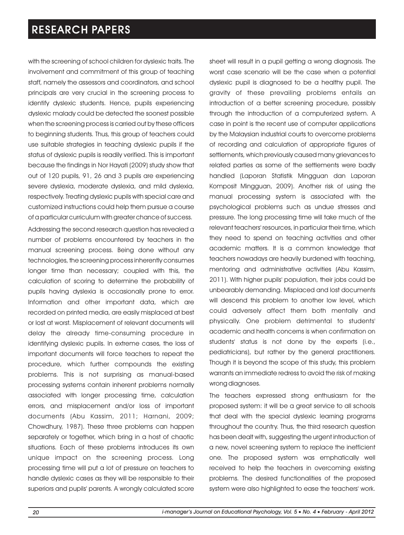with the screening of school children for dyslexic traits. The involvement and commitment of this group of teaching staff, namely the assessors and coordinators, and school principals are very crucial in the screening process to identify dyslexic students. Hence, pupils experiencing dyslexic malady could be detected the soonest possible when the screening process is carried out by these officers to beginning students. Thus, this group of teachers could use suitable strategies in teaching dyslexic pupils if the status of dyslexic pupils is readily verified. This is important because the findings in Nor Hayati (2009) study show that out of 120 pupils, 91, 26 and 3 pupils are experiencing severe dyslexia, moderate dyslexia, and mild dyslexia, respectively. Treating dyslexic pupils with special care and customized instructions could help them pursue a course of a particular curriculum with greater chance of success.

Addressing the second research question has revealed a number of problems encountered by teachers in the manual screening process. Being done without any technologies, the screening process inherently consumes longer time than necessary; coupled with this, the calculation of scoring to determine the probability of pupils having dyslexia is occasionally prone to error. Information and other important data, which are recorded on printed media, are easily misplaced at best or lost at worst. Misplacement of relevant documents will delay the already time-consuming procedure in identifying dyslexic pupils. In extreme cases, the loss of important documents will force teachers to repeat the procedure, which further compounds the existing problems. This is not surprising as manual-based processing systems contain inherent problems normally associated with longer processing time, calculation errors, and misplacement and/or loss of important documents (Abu Kassim, 2011; Harnani, 2009; Chowdhury, 1987). These three problems can happen separately or together, which bring in a host of chaotic situations. Each of these problems introduces its own unique impact on the screening process. Long processing time will put a lot of pressure on teachers to handle dyslexic cases as they will be responsible to their superiors and pupils' parents. A wrongly calculated score sheet will result in a pupil getting a wrong diagnosis. The worst case scenario will be the case when a potential dyslexic pupil is diagnosed to be a healthy pupil. The gravity of these prevailing problems entails an introduction of a better screening procedure, possibly through the introduction of a computerized system. A case in point is the recent use of computer applications by the Malaysian industrial courts to overcome problems of recording and calculation of appropriate figures of settlements, which previously caused many grievances to related parties as some of the settlements were badly handled (Laporan Statistik Mingguan dan Laporan Komposit Mingguan, 2009). Another risk of using the manual processing system is associated with the psychological problems such as undue stresses and pressure. The long processing time will take much of the relevant teachers' resources, in particular their time, which they need to spend on teaching activities and other academic matters. It is a common knowledge that teachers nowadays are heavily burdened with teaching, mentoring and administrative activities (Abu Kassim, 2011). With higher pupils' population, their jobs could be unbearably demanding. Misplaced and lost documents will descend this problem to another low level, which could adversely affect them both mentally and physically. One problem detrimental to students' academic and health concerns is when confirmation on students' status is not done by the experts (i.e., pediatricians), but rather by the general practitioners. Though it is beyond the scope of this study, this problem warrants an immediate redress to avoid the risk of making wrong diagnoses.

The teachers expressed strong enthusiasm for the proposed system: it will be a great service to all schools that deal with the special dyslexic learning programs throughout the country. Thus, the third research question has been dealt with, suggesting the urgent introduction of a new, novel screening system to replace the inefficient one. The proposed system was emphatically well received to help the teachers in overcoming existing problems. The desired functionalities of the proposed system were also highlighted to ease the teachers' work.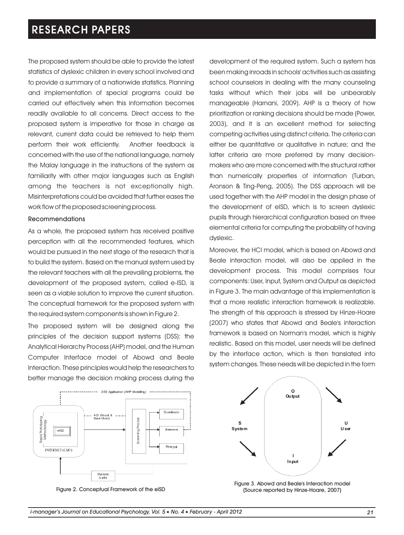The proposed system should be able to provide the latest statistics of dyslexic children in every school involved and to provide a summary of a nationwide statistics. Planning and implementation of special programs could be carried out effectively when this information becomes readily available to all concerns. Direct access to the proposed system is imperative for those in charge as relevant, current data could be retrieved to help them perform their work efficiently. Another feedback is concerned with the use of the national language, namely the Malay language in the instructions of the system as familiarity with other major languages such as English among the teachers is not exceptionally high. Misinterpretations could be avoided that further eases the work flow of the proposed screening process.

#### Recommendations

As a whole, the proposed system has received positive perception with all the recommended features, which would be pursued in the next stage of the research that is to build the system. Based on the manual system used by the relevant teachers with all the prevailing problems, the development of the proposed system, called e-ISD, is seen as a viable solution to improve the current situation. The conceptual framework for the proposed system with the required system components is shown in Figure 2.

The proposed system will be designed along the principles of the decision support systems (DSS): the Analytical Hierarchy Process (AHP) model, and the Human Computer Interface model of Abowd and Beale Interaction. These principles would help the researchers to better manage the decision making process during the

development of the required system. Such a system has been making inroads in schools' activities such as assisting school counselors in dealing with the many counseling tasks without which their jobs will be unbearably manageable (Harnani, 2009). AHP is a theory of how prioritization or ranking decisions should be made (Power, 2003), and it is an excellent method for selecting competing activities using distinct criteria. The criteria can either be quantitative or qualitative in nature; and the latter criteria are more preferred by many decisionmakers who are more concerned with the structural rather than numerically properties of information (Turban, Aronson & Ting-Peng, 2005). The DSS approach will be used together with the AHP model in the design phase of the development of eISD, which is to screen dyslexic pupils through hierarchical configuration based on three elemental criteria for computing the probability of having dyslexic.

Moreover, the HCI model, which is based on Abowd and Beale interaction model, will also be applied in the development process. This model comprises four components: User, Input, System and Output as depicted in Figure 3. The main advantage of this implementation is that a more realistic interaction framework is realizable. The strength of this approach is stressed by Hinze-Hoare (2007) who states that Abowd and Beale's interaction framework is based on Norman's model, which is highly realistic. Based on this model, user needs will be defined by the interface action, which is then translated into system changes. These needs will be depicted in the form







Figure 3. Abowd and Beale's Interaction model (Source reported by Hinze-Hoare, 2007)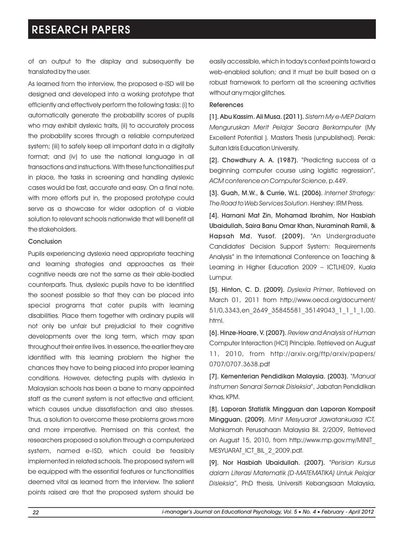of an output to the display and subsequently be translated by the user.

As learned from the interview, the proposed e-ISD will be designed and developed into a working prototype that efficiently and effectively perform the following tasks: (i) to automatically generate the probability scores of pupils who may exhibit dyslexic traits, (ii) to accurately process the probability scores through a reliable computerized system; (iii) to safely keep all important data in a digitally format; and (iv) to use the national language in all transactions and instructions. With these functionalities put in place, the tasks in screening and handling dyslexic cases would be fast, accurate and easy. On a final note, with more efforts put in, the proposed prototype could serve as a showcase for wider adoption of a viable solution to relevant schools nationwide that will benefit all the stakeholders.

#### Conclusion

Pupils experiencing dyslexia need appropriate teaching and learning strategies and approaches as their cognitive needs are not the same as their able-bodied counterparts. Thus, dyslexic pupils have to be identified the soonest possible so that they can be placed into special programs that cater pupils with learning disabilities. Place them together with ordinary pupils will not only be unfair but prejudicial to their cognitive developments over the long term, which may span throughout their entire lives. In essence, the earlier they are identified with this learning problem the higher the chances they have to being placed into proper learning conditions. However, detecting pupils with dyslexia in Malaysian schools has been a bane to many appointed staff as the current system is not effective and efficient, which causes undue dissatisfaction and also stresses. Thus, a solution to overcome these problems grows more and more imperative. Premised on this context, the researchers proposed a solution through a computerized system, named e-ISD, which could be feasibly implemented in related schools. The proposed system will be equipped with the essential features or functionalities deemed vital as learned from the interview. The salient points raised are that the proposed system should be easily accessible, which in today's context points toward a web-enabled solution; and it must be built based on a robust framework to perform all the screening activities without any major glitches.

#### References

[1]. Abu Kassim. Ali Musa. (2011). *Sistem My e-MEP Dalam Menguruskan Merit Pelajar Secara Berkomputer* (My Excellent Potential ). Masters Thesis (unpublished). Perak: Sultan Idris Education University.

[2]. Chowdhury A. A. (1987). "Predicting success of a beginning computer course using logistic regression", *ACM conference on Computer Science*, p.449.

[3]. Guah, M.W., & Currie, W.L. (2006). *Internet Strategy: The Road to Web Services Solution*. Hershey: IRM Press.

[4]. Harnani Mat Zin, Mohamad Ibrahim, Nor Hasbiah Ubaidullah, Saira Banu Omar Khan, Nuraminah Ramli, & Hapsah Md. Yusof. (2009). "An Undergraduate Candidates' Decision Support System: Requirements Analysis" in the International Conference on Teaching & Learning in Higher Education 2009 – ICTLHE09, Kuala Lumpur.

[5]. Hinton, C. D. (2009). *Dyslexia Primer*, Retrieved on March 01, 2011 from http://www.oecd.org/document/ 51/0,3343,en\_2649\_35845581\_35149043\_1\_1\_1\_1,00. html.

[6]. Hinze-Hoare, V. (2007). *Review and Analysis of Human*  Computer Interaction (HCI) Principle. Retrieved on August 11, 2010, from http://arxiv.org/ftp/arxiv/papers/ 0707/0707.3638.pdf

[7]. Kementerian Pendidikan Malaysia. (2003). "*Manual Instrumen Senarai Semak Disleksia*", Jabatan Pendidikan Khas, KPM.

[8]. Laporan Statistik Mingguan dan Laporan Komposit Mingguan. (2009). *Minit Mesyuarat Jawatankuasa ICT,* Mahkamah Perusahaan Malaysia Bil. 2/2009, Retrieved on August 15, 2010, from http://www.mp.gov.my/MINIT\_ MESYUARAT\_ICT\_BIL\_2\_2009.pdf.

[9]. Nor Hasbiah Ubaidullah. (2007). "*Perisian Kursus dalam Literasi Matematik (D-MATEMATIKA) Untuk Pelajar Disleksia"*, PhD thesis, Universiti Kebangsaan Malaysia,